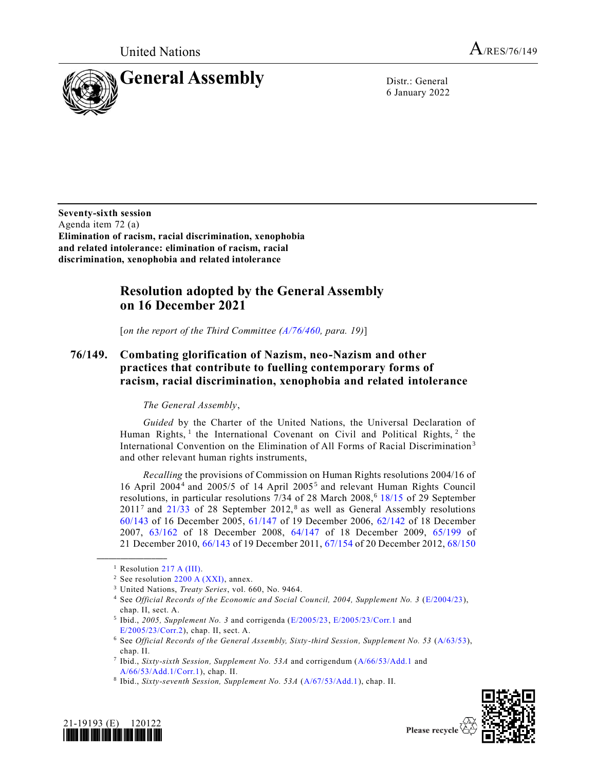

6 January 2022

**Seventy-sixth session** Agenda item 72 (a) **Elimination of racism, racial discrimination, xenophobia and related intolerance: elimination of racism, racial discrimination, xenophobia and related intolerance**

## **Resolution adopted by the General Assembly on 16 December 2021**

[*on the report of the Third Committee [\(A/76/460,](https://undocs.org/en/A/76/460) para. 19)*]

## **76/149. Combating glorification of Nazism, neo-Nazism and other practices that contribute to fuelling contemporary forms of racism, racial discrimination, xenophobia and related intolerance**

## *The General Assembly*,

*Guided* by the Charter of the United Nations, the Universal Declaration of Human Rights,<sup>1</sup> the International Covenant on Civil and Political Rights,<sup>2</sup> the International Convention on the Elimination of All Forms of Racial Discrimination<sup>3</sup> and other relevant human rights instruments,

*Recalling* the provisions of Commission on Human Rights resolutions 2004/16 of 16 April 2004<sup>4</sup> and 2005/5 of 14 April 2005<sup>5</sup> and relevant Human Rights Council resolutions, in particular resolutions  $7/34$  of 28 March 2008,<sup>6</sup> [18/15](https://undocs.org/en/A/HRC/RES/18/15) of 29 September  $2011<sup>7</sup>$  and  $21/33$  of 28 September 2012,<sup>8</sup> as well as General Assembly resolutions [60/143](https://undocs.org/en/A/RES/60/143) of 16 December 2005, [61/147](https://undocs.org/en/A/RES/61/147) of 19 December 2006, [62/142](https://undocs.org/en/A/RES/62/142) of 18 December 2007, [63/162](https://undocs.org/en/A/RES/63/162) of 18 December 2008, [64/147](https://undocs.org/en/A/RES/64/147) of 18 December 2009, [65/199](https://undocs.org/en/A/RES/65/199) of 21 December 2010[, 66/143](https://undocs.org/en/A/RES/66/143) of 19 December 2011[, 67/154](https://undocs.org/en/A/RES/67/154) of 20 December 2012[, 68/150](https://undocs.org/en/A/RES/68/150)

**\_\_\_\_\_\_\_\_\_\_\_\_\_\_\_\_\_\_**

<sup>5</sup> Ibid., 2005, Supplement No. 3 and corrigenda [\(E/2005/23,](https://undocs.org/en/E/2005/23(supp)) [E/2005/23/Corr.1](https://undocs.org/en/E/2005/23/Corr.1(supp)) and [E/2005/23/Corr.2\)](https://undocs.org/en/E/2005/23/Corr.2(supp)), chap. II, sect. A.





<sup>&</sup>lt;sup>1</sup> Resolution [217 A \(III\).](https://undocs.org/en/A/RES/217(III))

<sup>&</sup>lt;sup>2</sup> See resolution  $2200$  A (XXI), annex.

<sup>3</sup> United Nations, *Treaty Series*, vol. 660, No. 9464.

<sup>4</sup> See *Official Records of the Economic and Social Council, 2004, Supplement No. 3* [\(E/2004/23\)](https://undocs.org/en/E/2004/23(supp)), chap. II, sect. A.

<sup>6</sup> See *Official Records of the General Assembly, Sixty-third Session, Supplement No. 53* [\(A/63/53\)](https://undocs.org/en/A/63/53), chap. II.

<sup>7</sup> Ibid., *Sixty-sixth Session, Supplement No. 53A* and corrigendum [\(A/66/53/Add.1](https://undocs.org/en/A/66/53/Add.1) and [A/66/53/Add.1/Corr.1\)](https://undocs.org/en/A/66/53/Add.1/Corr.1), chap. II.

<sup>8</sup> Ibid., *Sixty-seventh Session, Supplement No. 53A* [\(A/67/53/Add.1\)](https://undocs.org/en/A/67/53/Add.1), chap. II.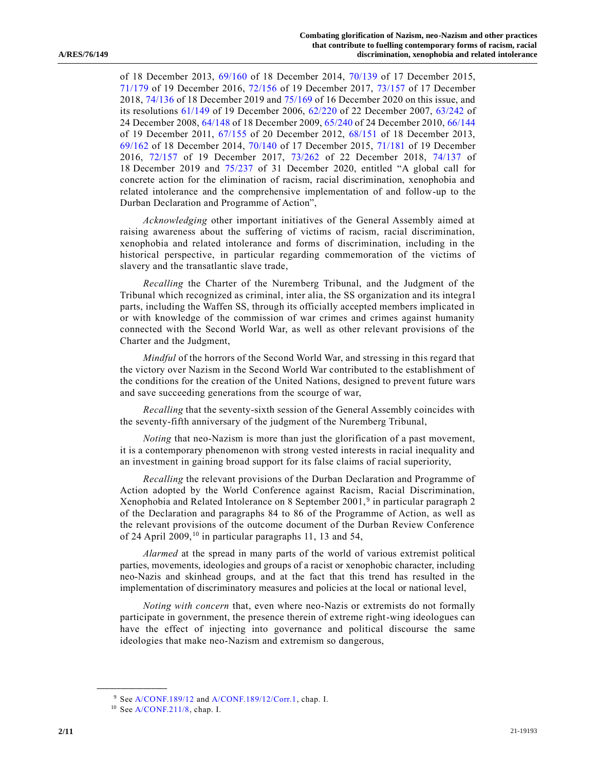of 18 December 2013, [69/160](https://undocs.org/en/A/RES/69/160) of 18 December 2014, [70/139](https://undocs.org/en/A/RES/70/139) of 17 December 2015, [71/179](https://undocs.org/en/A/RES/71/179) of 19 December 2016, [72/156](https://undocs.org/en/A/RES/72/156) of 19 December 2017, [73/157](https://undocs.org/en/A/RES/73/157) of 17 December 2018[, 74/136](https://undocs.org/en/A/RES/74/136) of 18 December 2019 and [75/169](https://undocs.org/en/A/RES/75/169) of 16 December 2020 on this issue, and its resolutions [61/149](https://undocs.org/en/A/RES/61/149) of 19 December 2006, [62/220](https://undocs.org/en/A/RES/62/220) of 22 December 2007, [63/242](https://undocs.org/en/A/RES/63/242) of 24 December 2008, [64/148](https://undocs.org/en/A/RES/64/148) of 18 December 2009[, 65/240](https://undocs.org/en/A/RES/65/240) of 24 December 2010[, 66/144](https://undocs.org/en/A/RES/66/144) of 19 December 2011, [67/155](https://undocs.org/en/A/RES/67/155) of 20 December 2012, [68/151](https://undocs.org/en/A/RES/68/151) of 18 December 2013, [69/162](https://undocs.org/en/A/RES/69/162) of 18 December 2014, [70/140](https://undocs.org/en/A/RES/70/140) of 17 December 2015, [71/181](https://undocs.org/en/A/RES/71/181) of 19 December 2016, [72/157](https://undocs.org/en/A/RES/72/157) of 19 December 2017, [73/262](https://undocs.org/en/A/RES/73/262) of 22 December 2018, [74/137](https://undocs.org/en/A/RES/74/137) of 18 December 2019 and [75/237](https://undocs.org/en/A/RES/75/237) of 31 December 2020, entitled "A global call for concrete action for the elimination of racism, racial discrimination, xenophobia and related intolerance and the comprehensive implementation of and follow-up to the Durban Declaration and Programme of Action",

*Acknowledging* other important initiatives of the General Assembly aimed at raising awareness about the suffering of victims of racism, racial discrimination, xenophobia and related intolerance and forms of discrimination, including in the historical perspective, in particular regarding commemoration of the victims of slavery and the transatlantic slave trade,

*Recalling* the Charter of the Nuremberg Tribunal, and the Judgment of the Tribunal which recognized as criminal, inter alia, the SS organization and its integra l parts, including the Waffen SS, through its officially accepted members implicated in or with knowledge of the commission of war crimes and crimes against humanity connected with the Second World War, as well as other relevant provisions of the Charter and the Judgment,

*Mindful* of the horrors of the Second World War, and stressing in this regard that the victory over Nazism in the Second World War contributed to the establishment of the conditions for the creation of the United Nations, designed to prevent future wars and save succeeding generations from the scourge of war,

*Recalling* that the seventy-sixth session of the General Assembly coincides with the seventy-fifth anniversary of the judgment of the Nuremberg Tribunal,

*Noting* that neo-Nazism is more than just the glorification of a past movement, it is a contemporary phenomenon with strong vested interests in racial inequality and an investment in gaining broad support for its false claims of racial superiority,

*Recalling* the relevant provisions of the Durban Declaration and Programme of Action adopted by the World Conference against Racism, Racial Discrimination, Xenophobia and Related Intolerance on 8 September 2001,<sup>9</sup> in particular paragraph 2 of the Declaration and paragraphs 84 to 86 of the Programme of Action, as well as the relevant provisions of the outcome document of the Durban Review Conference of 24 April 2009,<sup>10</sup> in particular paragraphs 11, 13 and 54,

*Alarmed* at the spread in many parts of the world of various extremist political parties, movements, ideologies and groups of a racist or xenophobic character, including neo-Nazis and skinhead groups, and at the fact that this trend has resulted in the implementation of discriminatory measures and policies at the local or national level,

*Noting with concern* that, even where neo-Nazis or extremists do not formally participate in government, the presence therein of extreme right-wing ideologues can have the effect of injecting into governance and political discourse the same ideologies that make neo-Nazism and extremism so dangerous,

<sup>9</sup> Se[e A/CONF.189/12](https://undocs.org/en/A/CONF.189/12) and [A/CONF.189/12/Corr.1,](https://undocs.org/en/A/CONF.189/12/Corr.1) chap. I.

<sup>10</sup> Se[e A/CONF.211/8,](https://undocs.org/en/A/CONF.211/8) chap. I.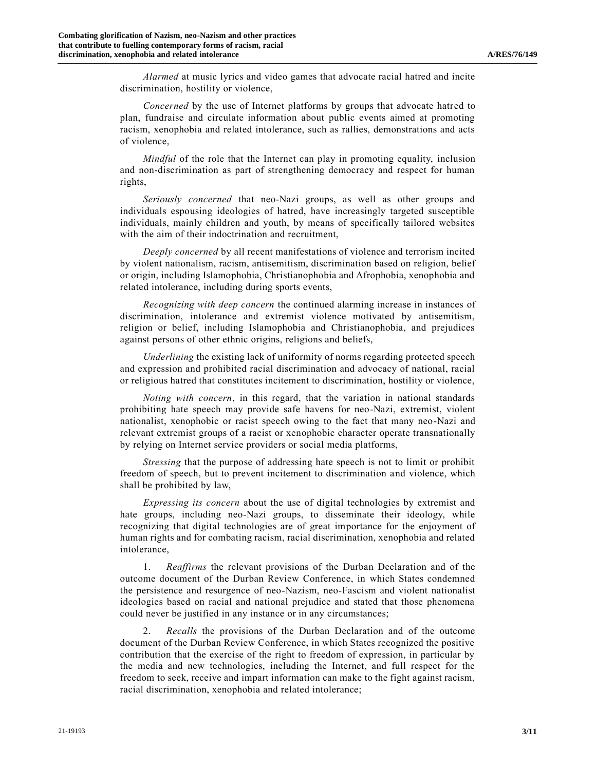*Alarmed* at music lyrics and video games that advocate racial hatred and incite discrimination, hostility or violence,

*Concerned* by the use of Internet platforms by groups that advocate hatred to plan, fundraise and circulate information about public events aimed at promoting racism, xenophobia and related intolerance, such as rallies, demonstrations and acts of violence,

*Mindful* of the role that the Internet can play in promoting equality, inclusion and non-discrimination as part of strengthening democracy and respect for human rights,

*Seriously concerned* that neo-Nazi groups, as well as other groups and individuals espousing ideologies of hatred, have increasingly targeted susceptible individuals, mainly children and youth, by means of specifically tailored websites with the aim of their indoctrination and recruitment,

*Deeply concerned* by all recent manifestations of violence and terrorism incited by violent nationalism, racism, antisemitism, discrimination based on religion, belief or origin, including Islamophobia, Christianophobia and Afrophobia, xenophobia and related intolerance, including during sports events,

*Recognizing with deep concern* the continued alarming increase in instances of discrimination, intolerance and extremist violence motivated by antisemitism, religion or belief, including Islamophobia and Christianophobia, and prejudices against persons of other ethnic origins, religions and beliefs,

*Underlining* the existing lack of uniformity of norms regarding protected speech and expression and prohibited racial discrimination and advocacy of national, racial or religious hatred that constitutes incitement to discrimination, hostility or violence,

*Noting with concern*, in this regard, that the variation in national standards prohibiting hate speech may provide safe havens for neo-Nazi, extremist, violent nationalist, xenophobic or racist speech owing to the fact that many neo-Nazi and relevant extremist groups of a racist or xenophobic character operate transnationally by relying on Internet service providers or social media platforms,

*Stressing* that the purpose of addressing hate speech is not to limit or prohibit freedom of speech, but to prevent incitement to discrimination and violence, which shall be prohibited by law,

*Expressing its concern* about the use of digital technologies by extremist and hate groups, including neo-Nazi groups, to disseminate their ideology, while recognizing that digital technologies are of great importance for the enjoyment of human rights and for combating racism, racial discrimination, xenophobia and related intolerance,

1. *Reaffirms* the relevant provisions of the Durban Declaration and of the outcome document of the Durban Review Conference, in which States condemned the persistence and resurgence of neo-Nazism, neo-Fascism and violent nationalist ideologies based on racial and national prejudice and stated that those phenomena could never be justified in any instance or in any circumstances;

2. *Recalls* the provisions of the Durban Declaration and of the outcome document of the Durban Review Conference, in which States recognized the positive contribution that the exercise of the right to freedom of expression, in particular by the media and new technologies, including the Internet, and full respect for the freedom to seek, receive and impart information can make to the fight against racism, racial discrimination, xenophobia and related intolerance;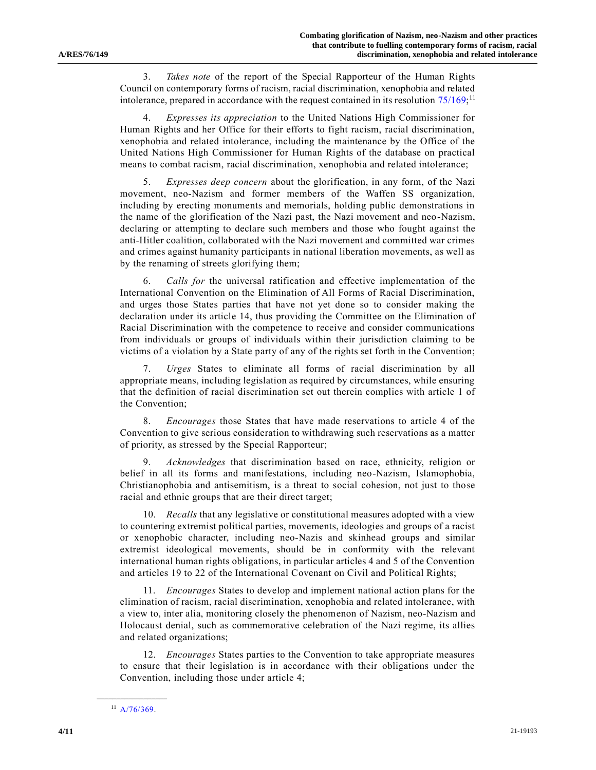3. *Takes note* of the report of the Special Rapporteur of the Human Rights Council on contemporary forms of racism, racial discrimination, xenophobia and related intolerance, prepared in accordance with the request contained in its resolution  $75/169$ ;<sup>11</sup>

4. *Expresses its appreciation* to the United Nations High Commissioner for Human Rights and her Office for their efforts to fight racism, racial discrimination, xenophobia and related intolerance, including the maintenance by the Office of the United Nations High Commissioner for Human Rights of the database on practical means to combat racism, racial discrimination, xenophobia and related intolerance;

5. *Expresses deep concern* about the glorification, in any form, of the Nazi movement, neo-Nazism and former members of the Waffen SS organization, including by erecting monuments and memorials, holding public demonstrations in the name of the glorification of the Nazi past, the Nazi movement and neo-Nazism, declaring or attempting to declare such members and those who fought against the anti-Hitler coalition, collaborated with the Nazi movement and committed war crimes and crimes against humanity participants in national liberation movements, as well as by the renaming of streets glorifying them;

6. *Calls for* the universal ratification and effective implementation of the International Convention on the Elimination of All Forms of Racial Discrimination, and urges those States parties that have not yet done so to consider making the declaration under its article 14, thus providing the Committee on the Elimination of Racial Discrimination with the competence to receive and consider communications from individuals or groups of individuals within their jurisdiction claiming to be victims of a violation by a State party of any of the rights set forth in the Convention;

7. *Urges* States to eliminate all forms of racial discrimination by all appropriate means, including legislation as required by circumstances, while ensuring that the definition of racial discrimination set out therein complies with article 1 of the Convention;

8. *Encourages* those States that have made reservations to article 4 of the Convention to give serious consideration to withdrawing such reservations as a matter of priority, as stressed by the Special Rapporteur;

9. *Acknowledges* that discrimination based on race, ethnicity, religion or belief in all its forms and manifestations, including neo-Nazism, Islamophobia, Christianophobia and antisemitism, is a threat to social cohesion, not just to those racial and ethnic groups that are their direct target;

10. *Recalls* that any legislative or constitutional measures adopted with a view to countering extremist political parties, movements, ideologies and groups of a racist or xenophobic character, including neo-Nazis and skinhead groups and similar extremist ideological movements, should be in conformity with the relevant international human rights obligations, in particular articles 4 and 5 of the Convention and articles 19 to 22 of the International Covenant on Civil and Political Rights;

11. *Encourages* States to develop and implement national action plans for the elimination of racism, racial discrimination, xenophobia and related intolerance, with a view to, inter alia, monitoring closely the phenomenon of Nazism, neo-Nazism and Holocaust denial, such as commemorative celebration of the Nazi regime, its allies and related organizations;

12. *Encourages* States parties to the Convention to take appropriate measures to ensure that their legislation is in accordance with their obligations under the Convention, including those under article 4;

**\_\_\_\_\_\_\_\_\_\_\_\_\_\_\_\_\_\_**  $11$  [A/76/369.](https://undocs.org/en/A/76/369)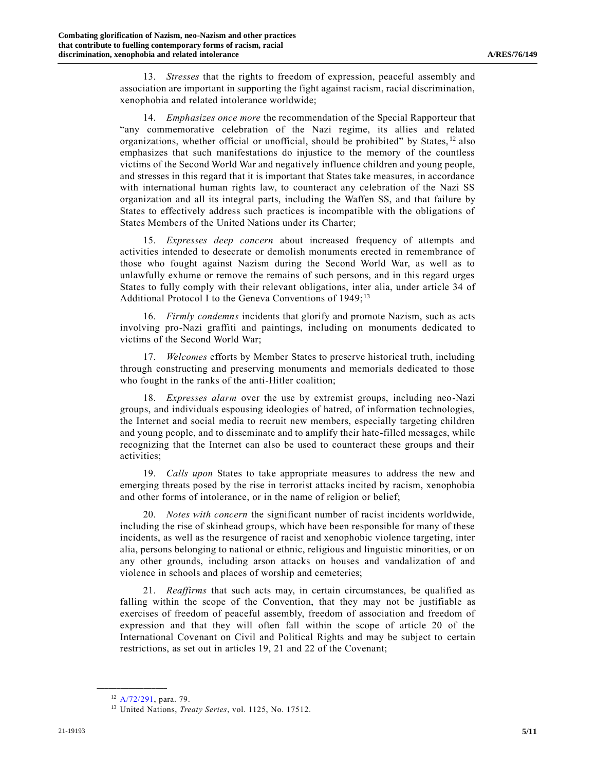13. *Stresses* that the rights to freedom of expression, peaceful assembly and association are important in supporting the fight against racism, racial discrimination, xenophobia and related intolerance worldwide;

14. *Emphasizes once more* the recommendation of the Special Rapporteur that "any commemorative celebration of the Nazi regime, its allies and related organizations, whether official or unofficial, should be prohibited" by States, <sup>12</sup> also emphasizes that such manifestations do injustice to the memory of the countless victims of the Second World War and negatively influence children and young people, and stresses in this regard that it is important that States take measures, in accordance with international human rights law, to counteract any celebration of the Nazi SS organization and all its integral parts, including the Waffen SS, and that failure by States to effectively address such practices is incompatible with the obligations of States Members of the United Nations under its Charter;

15. *Expresses deep concern* about increased frequency of attempts and activities intended to desecrate or demolish monuments erected in remembrance of those who fought against Nazism during the Second World War, as well as to unlawfully exhume or remove the remains of such persons, and in this regard urges States to fully comply with their relevant obligations, inter alia, under article 34 of Additional Protocol I to the Geneva Conventions of 1949;<sup>13</sup>

16. *Firmly condemns* incidents that glorify and promote Nazism, such as acts involving pro-Nazi graffiti and paintings, including on monuments dedicated to victims of the Second World War;

17. *Welcomes* efforts by Member States to preserve historical truth, including through constructing and preserving monuments and memorials dedicated to those who fought in the ranks of the anti-Hitler coalition;

18. *Expresses alarm* over the use by extremist groups, including neo-Nazi groups, and individuals espousing ideologies of hatred, of information technologies, the Internet and social media to recruit new members, especially targeting children and young people, and to disseminate and to amplify their hate-filled messages, while recognizing that the Internet can also be used to counteract these groups and their activities;

19. *Calls upon* States to take appropriate measures to address the new and emerging threats posed by the rise in terrorist attacks incited by racism, xenophobia and other forms of intolerance, or in the name of religion or belief;

20. *Notes with concern* the significant number of racist incidents worldwide, including the rise of skinhead groups, which have been responsible for many of these incidents, as well as the resurgence of racist and xenophobic violence targeting, inter alia, persons belonging to national or ethnic, religious and linguistic minorities, or on any other grounds, including arson attacks on houses and vandalization of and violence in schools and places of worship and cemeteries;

21. *Reaffirms* that such acts may, in certain circumstances, be qualified as falling within the scope of the Convention, that they may not be justifiable as exercises of freedom of peaceful assembly, freedom of association and freedom of expression and that they will often fall within the scope of article 20 of the International Covenant on Civil and Political Rights and may be subject to certain restrictions, as set out in articles 19, 21 and 22 of the Covenant;

<sup>12</sup> [A/72/291,](https://undocs.org/en/A/72/291) para. 79.

<sup>13</sup> United Nations, *Treaty Series*, vol. 1125, No. 17512.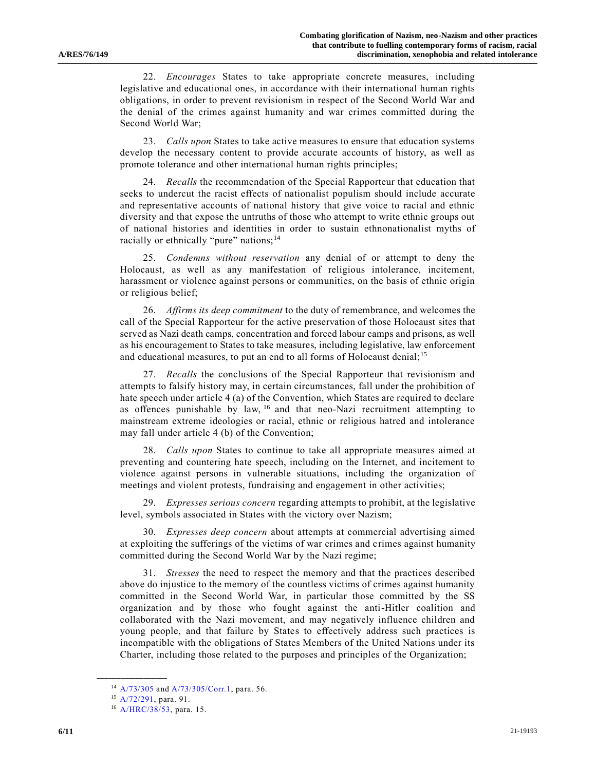22. *Encourages* States to take appropriate concrete measures, including legislative and educational ones, in accordance with their international human rights obligations, in order to prevent revisionism in respect of the Second World War and the denial of the crimes against humanity and war crimes committed during the Second World War;

23. *Calls upon* States to take active measures to ensure that education systems develop the necessary content to provide accurate accounts of history, as well as promote tolerance and other international human rights principles;

24. *Recalls* the recommendation of the Special Rapporteur that education that seeks to undercut the racist effects of nationalist populism should include accurate and representative accounts of national history that give voice to racial and ethnic diversity and that expose the untruths of those who attempt to write ethnic groups out of national histories and identities in order to sustain ethnonationalist myths of racially or ethnically "pure" nations;<sup>14</sup>

25. *Condemns without reservation* any denial of or attempt to deny the Holocaust, as well as any manifestation of religious intolerance, incitement, harassment or violence against persons or communities, on the basis of ethnic origin or religious belief;

26. *Affirms its deep commitment* to the duty of remembrance, and welcomes the call of the Special Rapporteur for the active preservation of those Holocaust sites that served as Nazi death camps, concentration and forced labour camps and prisons, as well as his encouragement to States to take measures, including legislative, law enforcement and educational measures, to put an end to all forms of Holocaust denial;<sup>15</sup>

27. *Recalls* the conclusions of the Special Rapporteur that revisionism and attempts to falsify history may, in certain circumstances, fall under the prohibition of hate speech under article 4 (a) of the Convention, which States are required to declare as offences punishable by law, <sup>16</sup> and that neo-Nazi recruitment attempting to mainstream extreme ideologies or racial, ethnic or religious hatred and intolerance may fall under article 4 (b) of the Convention;

28. *Calls upon* States to continue to take all appropriate measures aimed at preventing and countering hate speech, including on the Internet, and incitement to violence against persons in vulnerable situations, including the organization of meetings and violent protests, fundraising and engagement in other activities;

29. *Expresses serious concern* regarding attempts to prohibit, at the legislative level, symbols associated in States with the victory over Nazism;

30. *Expresses deep concern* about attempts at commercial advertising aimed at exploiting the sufferings of the victims of war crimes and crimes against humanity committed during the Second World War by the Nazi regime;

31. *Stresses* the need to respect the memory and that the practices described above do injustice to the memory of the countless victims of crimes against humanity committed in the Second World War, in particular those committed by the SS organization and by those who fought against the anti-Hitler coalition and collaborated with the Nazi movement, and may negatively influence children and young people, and that failure by States to effectively address such practices is incompatible with the obligations of States Members of the United Nations under its Charter, including those related to the purposes and principles of the Organization;

<sup>14</sup> [A/73/305](https://undocs.org/en/A/73/305) and [A/73/305/Corr.1,](https://undocs.org/en/A/73/305/Corr.1) para. 56.

<sup>15</sup> [A/72/291,](https://undocs.org/en/A/72/291) para. 91.

<sup>16</sup> [A/HRC/38/53,](https://undocs.org/en/A/HRC/38/53) para. 15.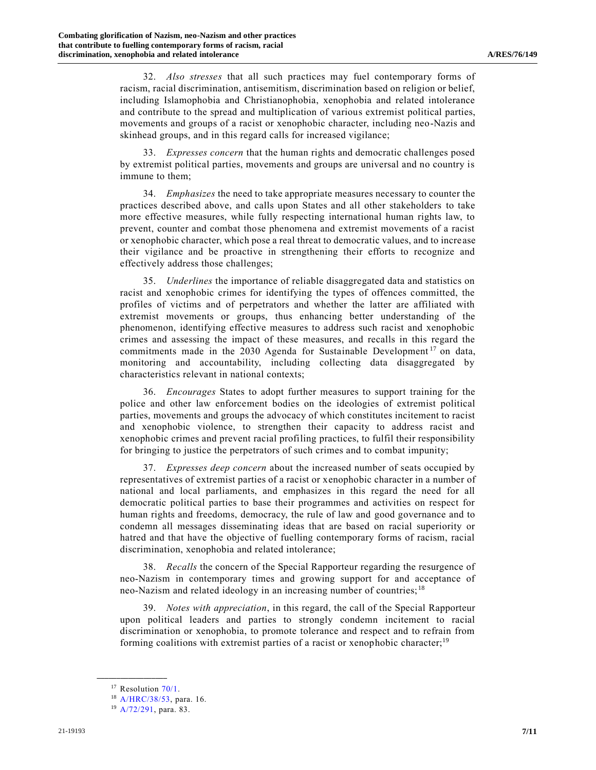32. *Also stresses* that all such practices may fuel contemporary forms of racism, racial discrimination, antisemitism, discrimination based on religion or belief, including Islamophobia and Christianophobia, xenophobia and related intolerance and contribute to the spread and multiplication of various extremist political parties, movements and groups of a racist or xenophobic character, including neo-Nazis and skinhead groups, and in this regard calls for increased vigilance;

33. *Expresses concern* that the human rights and democratic challenges posed by extremist political parties, movements and groups are universal and no country is immune to them;

34. *Emphasizes* the need to take appropriate measures necessary to counter the practices described above, and calls upon States and all other stakeholders to take more effective measures, while fully respecting international human rights law, to prevent, counter and combat those phenomena and extremist movements of a racist or xenophobic character, which pose a real threat to democratic values, and to increase their vigilance and be proactive in strengthening their efforts to recognize and effectively address those challenges;

35. *Underlines* the importance of reliable disaggregated data and statistics on racist and xenophobic crimes for identifying the types of offences committed, the profiles of victims and of perpetrators and whether the latter are affiliated with extremist movements or groups, thus enhancing better understanding of the phenomenon, identifying effective measures to address such racist and xenophobic crimes and assessing the impact of these measures, and recalls in this regard the commitments made in the 2030 Agenda for Sustainable Development<sup>17</sup> on data, monitoring and accountability, including collecting data disaggregated by characteristics relevant in national contexts;

36. *Encourages* States to adopt further measures to support training for the police and other law enforcement bodies on the ideologies of extremist political parties, movements and groups the advocacy of which constitutes incitement to racist and xenophobic violence, to strengthen their capacity to address racist and xenophobic crimes and prevent racial profiling practices, to fulfil their responsibility for bringing to justice the perpetrators of such crimes and to combat impunity;

37. *Expresses deep concern* about the increased number of seats occupied by representatives of extremist parties of a racist or xenophobic character in a number of national and local parliaments, and emphasizes in this regard the need for all democratic political parties to base their programmes and activities on respect for human rights and freedoms, democracy, the rule of law and good governance and to condemn all messages disseminating ideas that are based on racial superiority or hatred and that have the objective of fuelling contemporary forms of racism, racial discrimination, xenophobia and related intolerance;

38. *Recalls* the concern of the Special Rapporteur regarding the resurgence of neo-Nazism in contemporary times and growing support for and acceptance of neo-Nazism and related ideology in an increasing number of countries; <sup>18</sup>

39. *Notes with appreciation*, in this regard, the call of the Special Rapporteur upon political leaders and parties to strongly condemn incitement to racial discrimination or xenophobia, to promote tolerance and respect and to refrain from forming coalitions with extremist parties of a racist or xenophobic character;<sup>19</sup>

 $17$  Resolution  $70/1$ .

<sup>18</sup> [A/HRC/38/53,](https://undocs.org/en/A/HRC/38/53) para. 16.

<sup>19</sup> [A/72/291,](https://undocs.org/en/A/72/291) para. 83.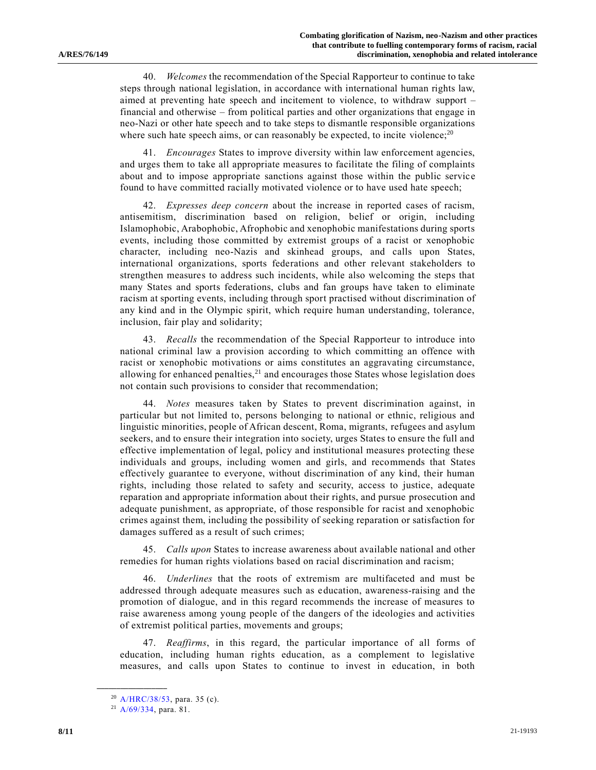40. *Welcomes* the recommendation of the Special Rapporteur to continue to take steps through national legislation, in accordance with international human rights law, aimed at preventing hate speech and incitement to violence, to withdraw support – financial and otherwise – from political parties and other organizations that engage in neo-Nazi or other hate speech and to take steps to dismantle responsible organizations where such hate speech aims, or can reasonably be expected, to incite violence; $^{20}$ 

41. *Encourages* States to improve diversity within law enforcement agencies, and urges them to take all appropriate measures to facilitate the filing of complaints about and to impose appropriate sanctions against those within the public service found to have committed racially motivated violence or to have used hate speech;

42. *Expresses deep concern* about the increase in reported cases of racism, antisemitism, discrimination based on religion, belief or origin, including Islamophobic, Arabophobic, Afrophobic and xenophobic manifestations during sports events, including those committed by extremist groups of a racist or xenophobic character, including neo-Nazis and skinhead groups, and calls upon States, international organizations, sports federations and other relevant stakeholders to strengthen measures to address such incidents, while also welcoming the steps that many States and sports federations, clubs and fan groups have taken to eliminate racism at sporting events, including through sport practised without discrimination of any kind and in the Olympic spirit, which require human understanding, tolerance, inclusion, fair play and solidarity;

43. *Recalls* the recommendation of the Special Rapporteur to introduce into national criminal law a provision according to which committing an offence with racist or xenophobic motivations or aims constitutes an aggravating circumstance, allowing for enhanced penalties, $21$  and encourages those States whose legislation does not contain such provisions to consider that recommendation;

44. *Notes* measures taken by States to prevent discrimination against, in particular but not limited to, persons belonging to national or ethnic, religious and linguistic minorities, people of African descent, Roma, migrants, refugees and asylum seekers, and to ensure their integration into society, urges States to ensure the full and effective implementation of legal, policy and institutional measures protecting these individuals and groups, including women and girls, and recommends that States effectively guarantee to everyone, without discrimination of any kind, their human rights, including those related to safety and security, access to justice, adequate reparation and appropriate information about their rights, and pursue prosecution and adequate punishment, as appropriate, of those responsible for racist and xenophobic crimes against them, including the possibility of seeking reparation or satisfaction for damages suffered as a result of such crimes;

45. *Calls upon* States to increase awareness about available national and other remedies for human rights violations based on racial discrimination and racism;

46. *Underlines* that the roots of extremism are multifaceted and must be addressed through adequate measures such as education, awareness-raising and the promotion of dialogue, and in this regard recommends the increase of measures to raise awareness among young people of the dangers of the ideologies and activities of extremist political parties, movements and groups;

47. *Reaffirms*, in this regard, the particular importance of all forms of education, including human rights education, as a complement to legislative measures, and calls upon States to continue to invest in education, in both

<sup>20</sup> [A/HRC/38/53,](https://undocs.org/en/A/HRC/38/53) para. 35 (c).

<sup>21</sup> [A/69/334,](https://undocs.org/en/A/69/334) para. 81.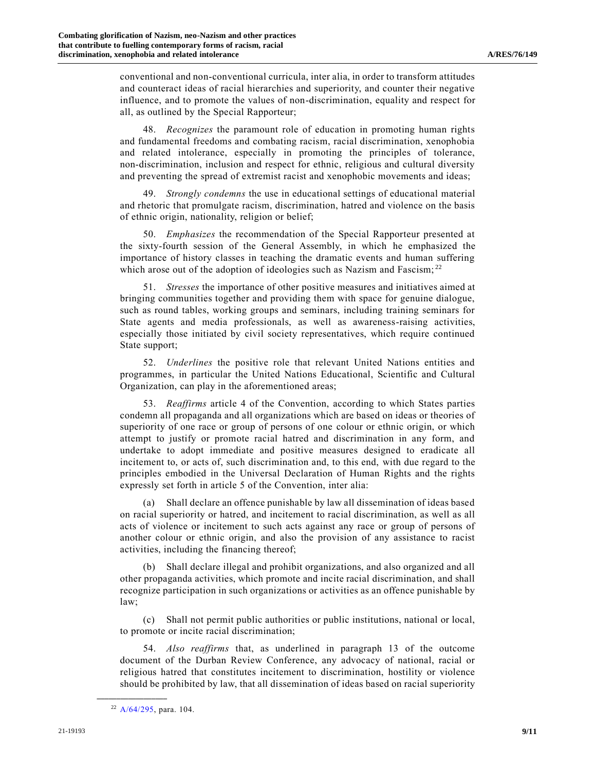conventional and non-conventional curricula, inter alia, in order to transform attitudes and counteract ideas of racial hierarchies and superiority, and counter their negative influence, and to promote the values of non-discrimination, equality and respect for all, as outlined by the Special Rapporteur;

48. *Recognizes* the paramount role of education in promoting human rights and fundamental freedoms and combating racism, racial discrimination, xenophobia and related intolerance, especially in promoting the principles of tolerance, non-discrimination, inclusion and respect for ethnic, religious and cultural diversity and preventing the spread of extremist racist and xenophobic movements and ideas;

49. *Strongly condemns* the use in educational settings of educational material and rhetoric that promulgate racism, discrimination, hatred and violence on the basis of ethnic origin, nationality, religion or belief;

50. *Emphasizes* the recommendation of the Special Rapporteur presented at the sixty-fourth session of the General Assembly, in which he emphasized the importance of history classes in teaching the dramatic events and human suffering which arose out of the adoption of ideologies such as Nazism and Fascism;  $^{22}$ 

51. *Stresses* the importance of other positive measures and initiatives aimed at bringing communities together and providing them with space for genuine dialogue, such as round tables, working groups and seminars, including training seminars for State agents and media professionals, as well as awareness-raising activities, especially those initiated by civil society representatives, which require continued State support;

52. *Underlines* the positive role that relevant United Nations entities and programmes, in particular the United Nations Educational, Scientific and Cultural Organization, can play in the aforementioned areas;

53. *Reaffirms* article 4 of the Convention, according to which States parties condemn all propaganda and all organizations which are based on ideas or theories of superiority of one race or group of persons of one colour or ethnic origin, or which attempt to justify or promote racial hatred and discrimination in any form, and undertake to adopt immediate and positive measures designed to eradicate all incitement to, or acts of, such discrimination and, to this end, with due regard to the principles embodied in the Universal Declaration of Human Rights and the rights expressly set forth in article 5 of the Convention, inter alia:

(a) Shall declare an offence punishable by law all dissemination of ideas based on racial superiority or hatred, and incitement to racial discrimination, as well as all acts of violence or incitement to such acts against any race or group of persons of another colour or ethnic origin, and also the provision of any assistance to racist activities, including the financing thereof;

(b) Shall declare illegal and prohibit organizations, and also organized and all other propaganda activities, which promote and incite racial discrimination, and shall recognize participation in such organizations or activities as an offence punishable by law;

(c) Shall not permit public authorities or public institutions, national or local, to promote or incite racial discrimination;

54. *Also reaffirms* that, as underlined in paragraph 13 of the outcome document of the Durban Review Conference, any advocacy of national, racial or religious hatred that constitutes incitement to discrimination, hostility or violence should be prohibited by law, that all dissemination of ideas based on racial superiority

<sup>22</sup> [A/64/295,](https://undocs.org/en/A/64/295) para. 104.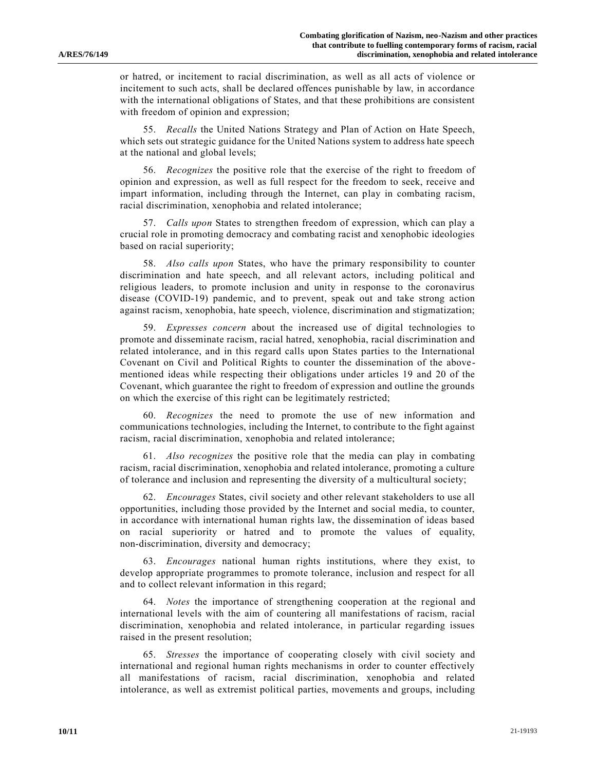or hatred, or incitement to racial discrimination, as well as all acts of violence or incitement to such acts, shall be declared offences punishable by law, in accordance with the international obligations of States, and that these prohibitions are consistent with freedom of opinion and expression;

55. *Recalls* the United Nations Strategy and Plan of Action on Hate Speech, which sets out strategic guidance for the United Nations system to address hate speech at the national and global levels;

56. *Recognizes* the positive role that the exercise of the right to freedom of opinion and expression, as well as full respect for the freedom to seek, receive and impart information, including through the Internet, can play in combating racism, racial discrimination, xenophobia and related intolerance;

57. *Calls upon* States to strengthen freedom of expression, which can play a crucial role in promoting democracy and combating racist and xenophobic ideologies based on racial superiority;

58. *Also calls upon* States, who have the primary responsibility to counter discrimination and hate speech, and all relevant actors, including political and religious leaders, to promote inclusion and unity in response to the coronavirus disease (COVID-19) pandemic, and to prevent, speak out and take strong action against racism, xenophobia, hate speech, violence, discrimination and stigmatization;

59. *Expresses concern* about the increased use of digital technologies to promote and disseminate racism, racial hatred, xenophobia, racial discrimination and related intolerance, and in this regard calls upon States parties to the International Covenant on Civil and Political Rights to counter the dissemination of the abovementioned ideas while respecting their obligations under articles 19 and 20 of the Covenant, which guarantee the right to freedom of expression and outline the grounds on which the exercise of this right can be legitimately restricted;

60. *Recognizes* the need to promote the use of new information and communications technologies, including the Internet, to contribute to the fight against racism, racial discrimination, xenophobia and related intolerance;

61. *Also recognizes* the positive role that the media can play in combating racism, racial discrimination, xenophobia and related intolerance, promoting a culture of tolerance and inclusion and representing the diversity of a multicultural society;

62. *Encourages* States, civil society and other relevant stakeholders to use all opportunities, including those provided by the Internet and social media, to counter, in accordance with international human rights law, the dissemination of ideas based on racial superiority or hatred and to promote the values of equality, non-discrimination, diversity and democracy;

63. *Encourages* national human rights institutions, where they exist, to develop appropriate programmes to promote tolerance, inclusion and respect for all and to collect relevant information in this regard;

64. *Notes* the importance of strengthening cooperation at the regional and international levels with the aim of countering all manifestations of racism, racial discrimination, xenophobia and related intolerance, in particular regarding issues raised in the present resolution;

65. *Stresses* the importance of cooperating closely with civil society and international and regional human rights mechanisms in order to counter effectively all manifestations of racism, racial discrimination, xenophobia and related intolerance, as well as extremist political parties, movements and groups, including